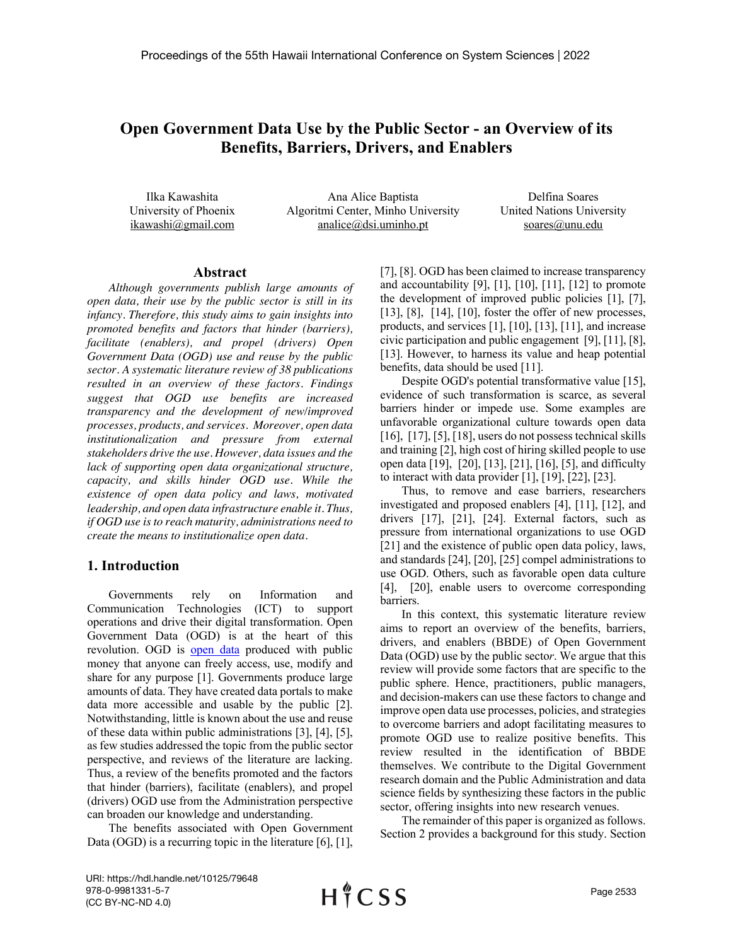# **Open Government Data Use by the Public Sector - an Overview of its Benefits, Barriers, Drivers, and Enablers**

Ilka Kawashita University of Phoenix ikawashi@gmail.com

Ana Alice Baptista Algoritmi Center, Minho University analice@dsi.uminho.pt

Delfina Soares United Nations University soares@unu.edu

# **Abstract**

*Although governments publish large amounts of open data, their use by the public sector is still in its infancy. Therefore, this study aims to gain insights into promoted benefits and factors that hinder (barriers), facilitate (enablers), and propel (drivers) Open Government Data (OGD) use and reuse by the public sector. A systematic literature review of 38 publications resulted in an overview of these factors. Findings suggest that OGD use benefits are increased transparency and the development of new/improved processes, products, and services. Moreover, open data institutionalization and pressure from external stakeholders drive the use. However, data issues and the lack of supporting open data organizational structure, capacity, and skills hinder OGD use. While the existence of open data policy and laws, motivated leadership, and open data infrastructure enable it. Thus, if OGD use is to reach maturity, administrations need to create the means to institutionalize open data.*

### **1. Introduction**

Governments rely on Information and Communication Technologies (ICT) to support operations and drive their digital transformation. Open Government Data (OGD) is at the heart of this revolution. OGD is open data produced with public money that anyone can freely access, use, modify and share for any purpose [1]. Governments produce large amounts of data. They have created data portals to make data more accessible and usable by the public [2]. Notwithstanding, little is known about the use and reuse of these data within public administrations [3], [4], [5], as few studies addressed the topic from the public sector perspective, and reviews of the literature are lacking. Thus, a review of the benefits promoted and the factors that hinder (barriers), facilitate (enablers), and propel (drivers) OGD use from the Administration perspective can broaden our knowledge and understanding.

The benefits associated with Open Government Data (OGD) is a recurring topic in the literature [6], [1], [7], [8]. OGD has been claimed to increase transparency and accountability  $[9]$ ,  $[1]$ ,  $[10]$ ,  $[11]$ ,  $[12]$  to promote the development of improved public policies [1], [7], [13], [8], [14], [10], foster the offer of new processes, products, and services [1], [10], [13], [11], and increase civic participation and public engagement [9], [11], [8], [13]. However, to harness its value and heap potential benefits, data should be used [11].

Despite OGD's potential transformative value [15], evidence of such transformation is scarce, as several barriers hinder or impede use. Some examples are unfavorable organizational culture towards open data [16], [17], [5], [18], users do not possess technical skills and training [2], high cost of hiring skilled people to use open data [19], [20], [13], [21], [16], [5], and difficulty to interact with data provider  $[1]$ ,  $[19]$ ,  $[22]$ ,  $[23]$ .

Thus, to remove and ease barriers, researchers investigated and proposed enablers [4], [11], [12], and drivers [17], [21], [24]. External factors, such as pressure from international organizations to use OGD [21] and the existence of public open data policy, laws, and standards [24], [20], [25] compel administrations to use OGD. Others, such as favorable open data culture [4], [20], enable users to overcome corresponding barriers.

In this context, this systematic literature review aims to report an overview of the benefits, barriers, drivers, and enablers (BBDE) of Open Government Data (OGD) use by the public secto*r*. We argue that this review will provide some factors that are specific to the public sphere. Hence, practitioners, public managers, and decision-makers can use these factors to change and improve open data use processes, policies, and strategies to overcome barriers and adopt facilitating measures to promote OGD use to realize positive benefits. This review resulted in the identification of BBDE themselves. We contribute to the Digital Government research domain and the Public Administration and data science fields by synthesizing these factors in the public sector, offering insights into new research venues.

The remainder of this paper is organized as follows. Section 2 provides a background for this study. Section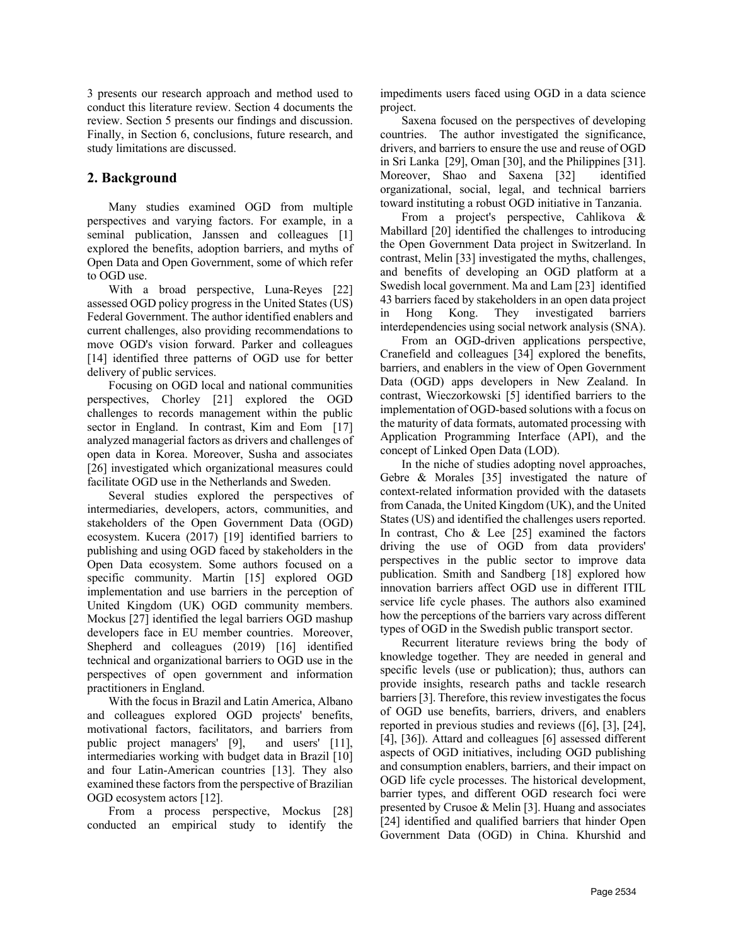3 presents our research approach and method used to conduct this literature review. Section 4 documents the review. Section 5 presents our findings and discussion. Finally, in Section 6, conclusions, future research, and study limitations are discussed.

# **2. Background**

Many studies examined OGD from multiple perspectives and varying factors. For example, in a seminal publication, Janssen and colleagues [1] explored the benefits, adoption barriers, and myths of Open Data and Open Government, some of which refer to OGD use.

With a broad perspective, Luna-Reyes [22] assessed OGD policy progress in the United States (US) Federal Government. The author identified enablers and current challenges, also providing recommendations to move OGD's vision forward. Parker and colleagues [14] identified three patterns of OGD use for better delivery of public services.

Focusing on OGD local and national communities perspectives, Chorley [21] explored the OGD challenges to records management within the public sector in England. In contrast, Kim and Eom [17] analyzed managerial factors as drivers and challenges of open data in Korea. Moreover, Susha and associates [26] investigated which organizational measures could facilitate OGD use in the Netherlands and Sweden.

Several studies explored the perspectives of intermediaries, developers, actors, communities, and stakeholders of the Open Government Data (OGD) ecosystem. Kucera (2017) [19] identified barriers to publishing and using OGD faced by stakeholders in the Open Data ecosystem. Some authors focused on a specific community. Martin [15] explored OGD implementation and use barriers in the perception of United Kingdom (UK) OGD community members. Mockus [27] identified the legal barriers OGD mashup developers face in EU member countries. Moreover, Shepherd and colleagues (2019) [16] identified technical and organizational barriers to OGD use in the perspectives of open government and information practitioners in England.

With the focus in Brazil and Latin America, Albano and colleagues explored OGD projects' benefits, motivational factors, facilitators, and barriers from public project managers' [9], and users' [11], intermediaries working with budget data in Brazil [10] and four Latin-American countries [13]. They also examined these factors from the perspective of Brazilian OGD ecosystem actors [12].

From a process perspective, Mockus [28] conducted an empirical study to identify the impediments users faced using OGD in a data science project.

Saxena focused on the perspectives of developing countries. The author investigated the significance, drivers, and barriers to ensure the use and reuse of OGD in Sri Lanka [29], Oman [30], and the Philippines [31]. Moreover, Shao and Saxena [32] identified organizational, social, legal, and technical barriers toward instituting a robust OGD initiative in Tanzania.

From a project's perspective, Cahlikova & Mabillard [20] identified the challenges to introducing the Open Government Data project in Switzerland. In contrast, Melin [33] investigated the myths, challenges, and benefits of developing an OGD platform at a Swedish local government. Ma and Lam [23] identified 43 barriers faced by stakeholders in an open data project in Hong Kong. They investigated barriers interdependencies using social network analysis (SNA).

From an OGD-driven applications perspective, Cranefield and colleagues [34] explored the benefits, barriers, and enablers in the view of Open Government Data (OGD) apps developers in New Zealand. In contrast, Wieczorkowski [5] identified barriers to the implementation of OGD-based solutions with a focus on the maturity of data formats, automated processing with Application Programming Interface (API), and the concept of Linked Open Data (LOD).

In the niche of studies adopting novel approaches, Gebre & Morales [35] investigated the nature of context-related information provided with the datasets from Canada, the United Kingdom (UK), and the United States (US) and identified the challenges users reported. In contrast, Cho & Lee [25] examined the factors driving the use of OGD from data providers' perspectives in the public sector to improve data publication. Smith and Sandberg [18] explored how innovation barriers affect OGD use in different ITIL service life cycle phases. The authors also examined how the perceptions of the barriers vary across different types of OGD in the Swedish public transport sector.

Recurrent literature reviews bring the body of knowledge together. They are needed in general and specific levels (use or publication); thus, authors can provide insights, research paths and tackle research barriers [3]. Therefore, this review investigates the focus of OGD use benefits, barriers, drivers, and enablers reported in previous studies and reviews ([6], [3], [24], [4], [36]). Attard and colleagues [6] assessed different aspects of OGD initiatives, including OGD publishing and consumption enablers, barriers, and their impact on OGD life cycle processes. The historical development, barrier types, and different OGD research foci were presented by Crusoe & Melin [3]. Huang and associates [24] identified and qualified barriers that hinder Open Government Data (OGD) in China. Khurshid and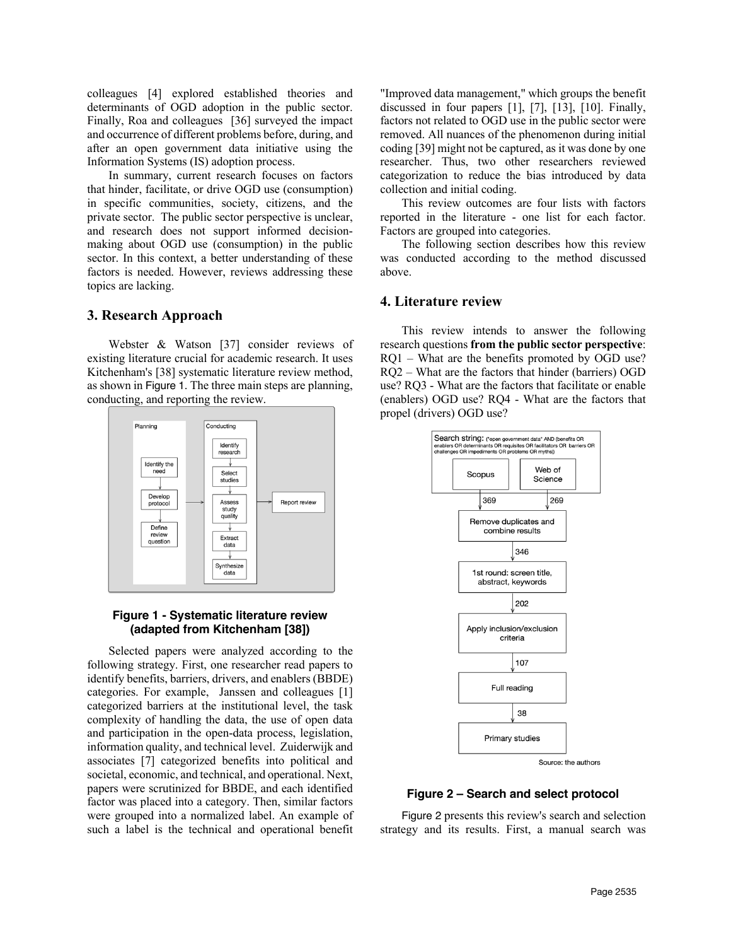colleagues [4] explored established theories and determinants of OGD adoption in the public sector. Finally, Roa and colleagues [36] surveyed the impact and occurrence of different problems before, during, and after an open government data initiative using the Information Systems (IS) adoption process.

In summary, current research focuses on factors that hinder, facilitate, or drive OGD use (consumption) in specific communities, society, citizens, and the private sector. The public sector perspective is unclear, and research does not support informed decisionmaking about OGD use (consumption) in the public sector. In this context, a better understanding of these factors is needed. However, reviews addressing these topics are lacking.

### **3. Research Approach**

Webster & Watson [37] consider reviews of existing literature crucial for academic research. It uses Kitchenham's [38] systematic literature review method, as shown in Figure 1. The three main steps are planning, conducting, and reporting the review.



#### **Figure 1 - Systematic literature review (adapted from Kitchenham [38])**

Selected papers were analyzed according to the following strategy. First, one researcher read papers to identify benefits, barriers, drivers, and enablers (BBDE) categories. For example, Janssen and colleagues [1] categorized barriers at the institutional level, the task complexity of handling the data, the use of open data and participation in the open-data process, legislation, information quality, and technical level. Zuiderwijk and associates [7] categorized benefits into political and societal, economic, and technical, and operational. Next, papers were scrutinized for BBDE, and each identified factor was placed into a category. Then, similar factors were grouped into a normalized label. An example of such a label is the technical and operational benefit "Improved data management," which groups the benefit discussed in four papers [1], [7], [13], [10]. Finally, factors not related to OGD use in the public sector were removed. All nuances of the phenomenon during initial coding [39] might not be captured, as it was done by one researcher. Thus, two other researchers reviewed categorization to reduce the bias introduced by data collection and initial coding.

This review outcomes are four lists with factors reported in the literature - one list for each factor. Factors are grouped into categories.

The following section describes how this review was conducted according to the method discussed above.

### **4. Literature review**

This review intends to answer the following research questions **from the public sector perspective**: RQ1 – What are the benefits promoted by OGD use? RQ2 – What are the factors that hinder (barriers) OGD use? RQ3 - What are the factors that facilitate or enable (enablers) OGD use? RQ4 - What are the factors that propel (drivers) OGD use?



#### **Figure 2 – Search and select protocol**

Figure 2 presents this review's search and selection strategy and its results. First, a manual search was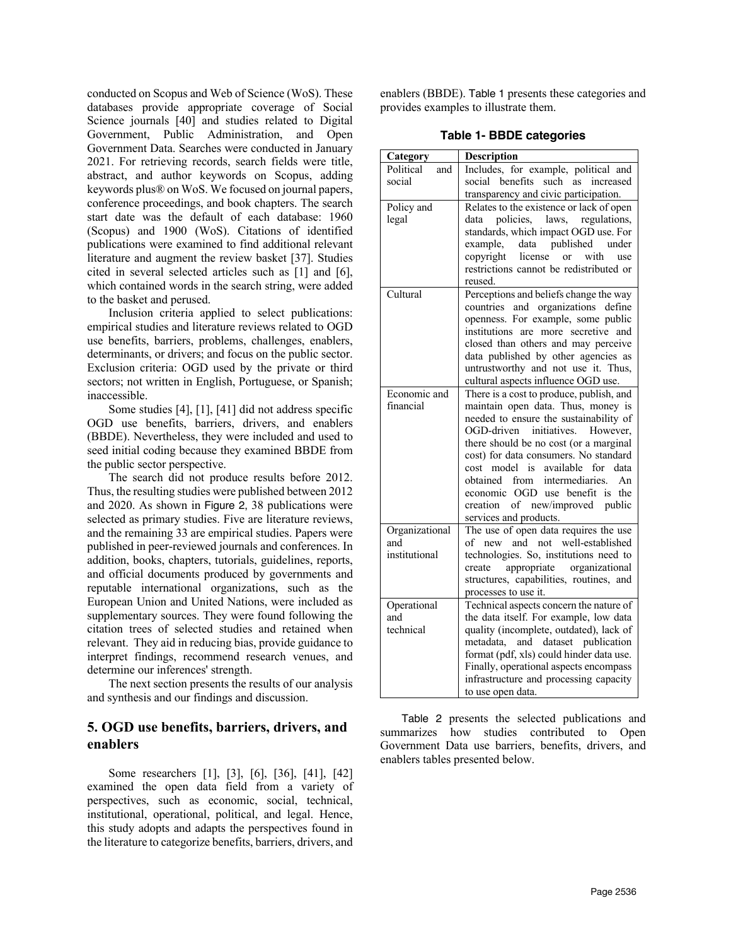conducted on Scopus and Web of Science (WoS). These databases provide appropriate coverage of Social Science journals [40] and studies related to Digital Government, Public Administration, and Open Government Data. Searches were conducted in January 2021. For retrieving records, search fields were title, abstract, and author keywords on Scopus, adding keywords plus® on WoS. We focused on journal papers, conference proceedings, and book chapters. The search start date was the default of each database: 1960 (Scopus) and 1900 (WoS). Citations of identified publications were examined to find additional relevant literature and augment the review basket [37]. Studies cited in several selected articles such as [1] and [6], which contained words in the search string, were added to the basket and perused.

Inclusion criteria applied to select publications: empirical studies and literature reviews related to OGD use benefits, barriers, problems, challenges, enablers, determinants, or drivers; and focus on the public sector. Exclusion criteria: OGD used by the private or third sectors; not written in English, Portuguese, or Spanish; inaccessible.

Some studies [4], [1], [41] did not address specific OGD use benefits, barriers, drivers, and enablers (BBDE). Nevertheless, they were included and used to seed initial coding because they examined BBDE from the public sector perspective.

The search did not produce results before 2012. Thus, the resulting studies were published between 2012 and 2020. As shown in Figure 2, 38 publications were selected as primary studies. Five are literature reviews, and the remaining 33 are empirical studies. Papers were published in peer-reviewed journals and conferences. In addition, books, chapters, tutorials, guidelines, reports, and official documents produced by governments and reputable international organizations, such as the European Union and United Nations, were included as supplementary sources. They were found following the citation trees of selected studies and retained when relevant. They aid in reducing bias, provide guidance to interpret findings, recommend research venues, and determine our inferences' strength.

The next section presents the results of our analysis and synthesis and our findings and discussion.

# **5. OGD use benefits, barriers, drivers, and enablers**

Some researchers [1], [3], [6], [36], [41], [42] examined the open data field from a variety of perspectives, such as economic, social, technical, institutional, operational, political, and legal. Hence, this study adopts and adapts the perspectives found in the literature to categorize benefits, barriers, drivers, and enablers (BBDE). Table 1 presents these categories and provides examples to illustrate them.

**Table 1- BBDE categories**

| Category         | Description                                                                       |
|------------------|-----------------------------------------------------------------------------------|
| Political<br>and | Includes, for example, political and                                              |
| social           | social benefits such as increased                                                 |
|                  | transparency and civic participation.                                             |
| Policy and       | Relates to the existence or lack of open                                          |
| legal            | policies, laws, regulations,<br>data                                              |
|                  | standards, which impact OGD use. For                                              |
|                  | published<br>data<br>example,<br>under                                            |
|                  | copyright<br>license or<br>with<br>use<br>restrictions cannot be redistributed or |
|                  | reused.                                                                           |
| Cultural         | Perceptions and beliefs change the way                                            |
|                  | and organizations define<br>countries                                             |
|                  | openness. For example, some public                                                |
|                  | institutions are more secretive and                                               |
|                  | closed than others and may perceive                                               |
|                  | data published by other agencies as                                               |
|                  | untrustworthy and not use it. Thus,                                               |
|                  | cultural aspects influence OGD use.                                               |
| Economic and     | There is a cost to produce, publish, and                                          |
| financial        | maintain open data. Thus, money is                                                |
|                  | needed to ensure the sustainability of                                            |
|                  | OGD-driven initiatives. However,                                                  |
|                  | there should be no cost (or a marginal<br>cost) for data consumers. No standard   |
|                  | available for<br>cost model is<br>data                                            |
|                  | obtained<br>from<br>intermediaries.<br>An                                         |
|                  | economic OGD use benefit is<br>the                                                |
|                  | creation of new/improved public                                                   |
|                  | services and products.                                                            |
| Organizational   | The use of open data requires the use                                             |
| and              | of new and not well-established                                                   |
| institutional    | technologies. So, institutions need to                                            |
|                  | appropriate organizational<br>create                                              |
|                  | structures, capabilities, routines, and                                           |
|                  | processes to use it.                                                              |
| Operational      | Technical aspects concern the nature of                                           |
| and<br>technical | the data itself. For example, low data<br>quality (incomplete, outdated), lack of |
|                  | metadata, and dataset publication                                                 |
|                  | format (pdf, xls) could hinder data use.                                          |
|                  | Finally, operational aspects encompass                                            |
|                  | infrastructure and processing capacity                                            |
|                  | to use open data.                                                                 |

Table 2 presents the selected publications and summarizes how studies contributed to Open Government Data use barriers, benefits, drivers, and enablers tables presented below.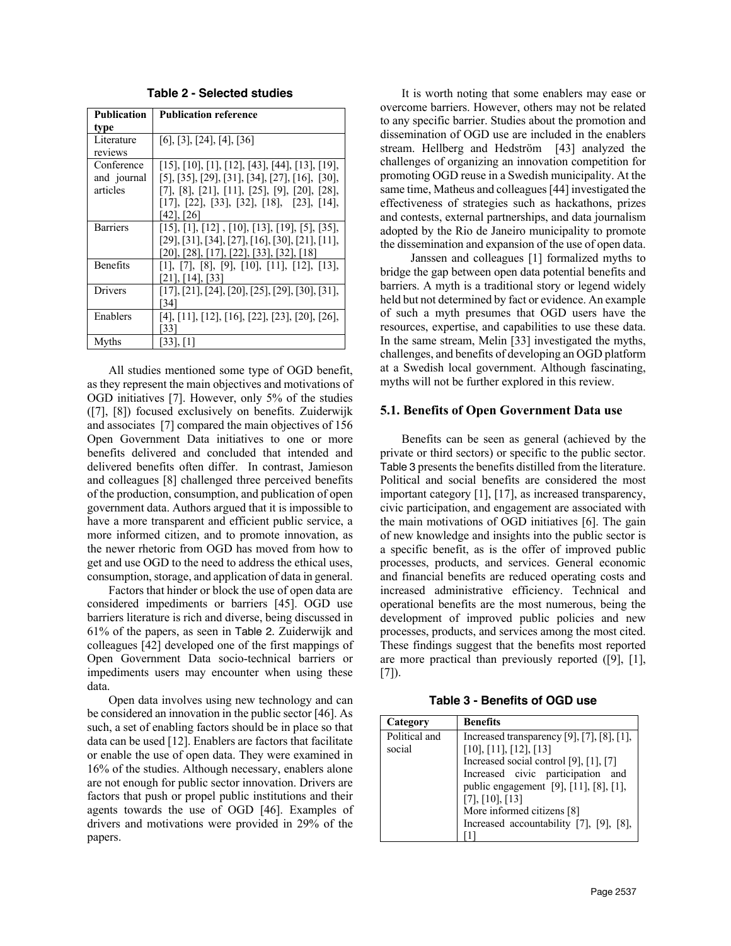| Publication     | <b>Publication reference</b>                                           |
|-----------------|------------------------------------------------------------------------|
| type            |                                                                        |
| Literature      | $[6]$ , [3], [24], [4], [36]                                           |
| reviews         |                                                                        |
| Conference      | $[15]$ , $[10]$ , $[1]$ , $[12]$ , $[43]$ , $[44]$ , $[13]$ , $[19]$ , |
| and journal     | [5], [35], [29], [31], [34], [27], [16], [30],                         |
| articles        | $[7]$ , $[8]$ , $[21]$ , $[11]$ , $[25]$ , $[9]$ , $[20]$ , $[28]$ ,   |
|                 | $[17], [22], [33], [32], [18], [23], [14],$                            |
|                 | [42], [26]                                                             |
| <b>Barriers</b> | $[15]$ , $[1]$ , $[12]$ , $[10]$ , $[13]$ , $[19]$ , $[5]$ , $[35]$ ,  |
|                 | $[29], [31], [34], [27], [16], [30], [21], [11],$                      |
|                 | [20], [28], [17], [22], [33], [32], [18]                               |
| <b>Benefits</b> | $[1]$ , $[7]$ , $[8]$ , $[9]$ , $[10]$ , $[11]$ , $[12]$ , $[13]$ ,    |
|                 | [21], [14], [33]                                                       |
| Drivers         | $[17], [21], [24], [20], [25], [29], [30], [31],$                      |
|                 | [34]                                                                   |
| Enablers        | $[4]$ , $[11]$ , $[12]$ , $[16]$ , $[22]$ , $[23]$ , $[20]$ , $[26]$ , |
|                 | [33]                                                                   |
| Myths           | $[33]$ , $[1]$                                                         |

**Table 2 - Selected studies**

All studies mentioned some type of OGD benefit, as they represent the main objectives and motivations of OGD initiatives [7]. However, only 5% of the studies ([7], [8]) focused exclusively on benefits. Zuiderwijk and associates [7] compared the main objectives of 156 Open Government Data initiatives to one or more benefits delivered and concluded that intended and delivered benefits often differ. In contrast, Jamieson and colleagues [8] challenged three perceived benefits of the production, consumption, and publication of open government data. Authors argued that it is impossible to have a more transparent and efficient public service, a more informed citizen, and to promote innovation, as the newer rhetoric from OGD has moved from how to get and use OGD to the need to address the ethical uses, consumption, storage, and application of data in general.

Factors that hinder or block the use of open data are considered impediments or barriers [45]. OGD use barriers literature is rich and diverse, being discussed in 61% of the papers, as seen in Table 2. Zuiderwijk and colleagues [42] developed one of the first mappings of Open Government Data socio-technical barriers or impediments users may encounter when using these data.

Open data involves using new technology and can be considered an innovation in the public sector [46]. As such, a set of enabling factors should be in place so that data can be used [12]. Enablers are factors that facilitate or enable the use of open data. They were examined in 16% of the studies. Although necessary, enablers alone are not enough for public sector innovation. Drivers are factors that push or propel public institutions and their agents towards the use of OGD [46]. Examples of drivers and motivations were provided in 29% of the papers.

It is worth noting that some enablers may ease or overcome barriers. However, others may not be related to any specific barrier. Studies about the promotion and dissemination of OGD use are included in the enablers stream. Hellberg and Hedström [43] analyzed the challenges of organizing an innovation competition for promoting OGD reuse in a Swedish municipality. At the same time, Matheus and colleagues [44] investigated the effectiveness of strategies such as hackathons, prizes and contests, external partnerships, and data journalism adopted by the Rio de Janeiro municipality to promote the dissemination and expansion of the use of open data.

 Janssen and colleagues [1] formalized myths to bridge the gap between open data potential benefits and barriers. A myth is a traditional story or legend widely held but not determined by fact or evidence. An example of such a myth presumes that OGD users have the resources, expertise, and capabilities to use these data. In the same stream, Melin [33] investigated the myths, challenges, and benefits of developing an OGD platform at a Swedish local government. Although fascinating, myths will not be further explored in this review.

#### **5.1. Benefits of Open Government Data use**

Benefits can be seen as general (achieved by the private or third sectors) or specific to the public sector. Table 3 presents the benefits distilled from the literature. Political and social benefits are considered the most important category [1], [17], as increased transparency, civic participation, and engagement are associated with the main motivations of OGD initiatives [6]. The gain of new knowledge and insights into the public sector is a specific benefit, as is the offer of improved public processes, products, and services. General economic and financial benefits are reduced operating costs and increased administrative efficiency. Technical and operational benefits are the most numerous, being the development of improved public policies and new processes, products, and services among the most cited. These findings suggest that the benefits most reported are more practical than previously reported ([9], [1],  $[7]$ .

**Table 3 - Benefits of OGD use**

| Category                | <b>Benefits</b>                                                                                                                                                                                                                                                                           |
|-------------------------|-------------------------------------------------------------------------------------------------------------------------------------------------------------------------------------------------------------------------------------------------------------------------------------------|
| Political and<br>social | Increased transparency [9], [7], [8], [1],<br>[10], [11], [12], [13]<br>Increased social control [9], [1], [7]<br>Increased civic participation and<br>public engagement [9], [11], [8], [1],<br>[7], [10], [13]<br>More informed citizens [8]<br>Increased accountability [7], [9], [8], |
|                         |                                                                                                                                                                                                                                                                                           |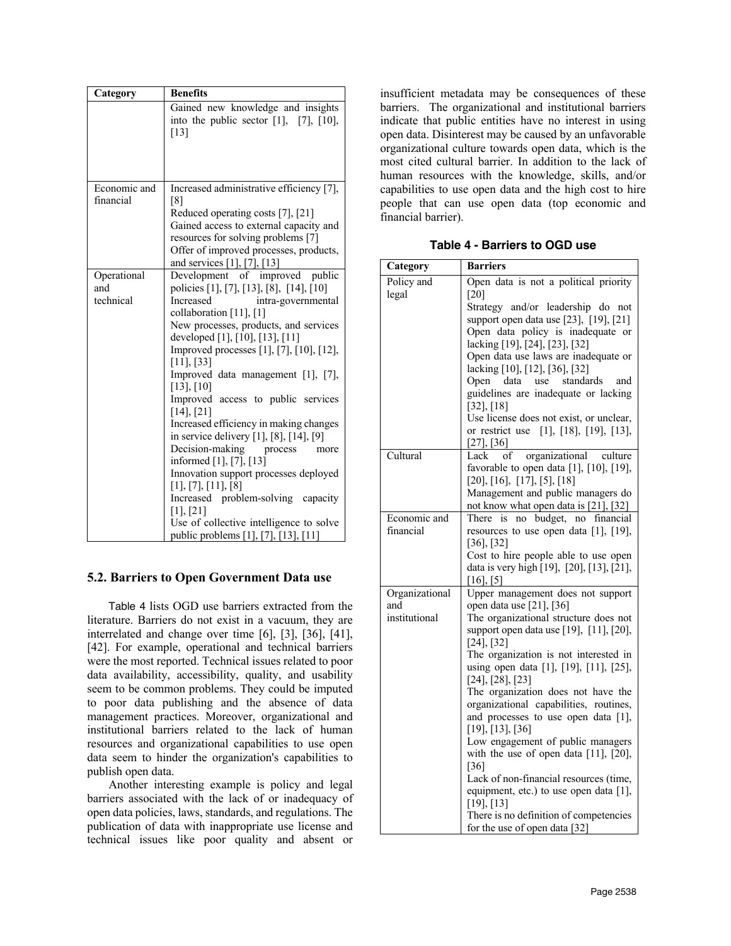| Category                        | <b>Benefits</b>                                                                                                                                                                                                                                                                                                                                                                                                                                                                                                                                                                                                                                                                                                                                                           |
|---------------------------------|---------------------------------------------------------------------------------------------------------------------------------------------------------------------------------------------------------------------------------------------------------------------------------------------------------------------------------------------------------------------------------------------------------------------------------------------------------------------------------------------------------------------------------------------------------------------------------------------------------------------------------------------------------------------------------------------------------------------------------------------------------------------------|
|                                 | Gained new knowledge and insights<br>into the public sector $[1]$ , $[7]$ , $[10]$ ,<br>[13]                                                                                                                                                                                                                                                                                                                                                                                                                                                                                                                                                                                                                                                                              |
| Economic and<br>financial       | Increased administrative efficiency [7],<br>[8]<br>Reduced operating costs [7], [21]<br>Gained access to external capacity and<br>resources for solving problems [7]<br>Offer of improved processes, products,<br>and services [1], [7], [13]                                                                                                                                                                                                                                                                                                                                                                                                                                                                                                                             |
| Operational<br>and<br>technical | Development of improved public<br>policies [1], [7], [13], [8], [14], [10]<br>Increased<br>intra-governmental<br>collaboration [11], [1]<br>New processes, products, and services<br>developed [1], [10], [13], [11]<br>Improved processes [1], [7], [10], [12],<br>$[11]$ , $[33]$<br>Improved data management [1], [7],<br>$[13]$ , $[10]$<br>Improved access to public services<br>[14], [21]<br>Increased efficiency in making changes<br>in service delivery [1], [8], [14], [9]<br>Decision-making<br>process<br>more<br>informed $[1]$ , $[7]$ , $[13]$<br>Innovation support processes deployed<br>[1], [7], [11], [8]<br>Increased problem-solving capacity<br>$[1]$ , $[21]$<br>Use of collective intelligence to solve<br>public problems [1], [7], [13], [11] |

# **5.2. Barriers to Open Government Data use**

Table 4 lists OGD use barriers extracted from the literature. Barriers do not exist in a vacuum, they are interrelated and change over time [6], [3], [36], [41], [42]. For example, operational and technical barriers were the most reported. Technical issues related to poor data availability, accessibility, quality, and usability seem to be common problems. They could be imputed to poor data publishing and the absence of data management practices. Moreover, organizational and institutional barriers related to the lack of human resources and organizational capabilities to use open data seem to hinder the organization's capabilities to publish open data.

Another interesting example is policy and legal barriers associated with the lack of or inadequacy of open data policies, laws, standards, and regulations. The publication of data with inappropriate use license and technical issues like poor quality and absent or insufficient metadata may be consequences of these barriers. The organizational and institutional barriers indicate that public entities have no interest in using open data. Disinterest may be caused by an unfavorable organizational culture towards open data, which is the most cited cultural barrier. In addition to the lack of human resources with the knowledge, skills, and/or capabilities to use open data and the high cost to hire people that can use open data (top economic and financial barrier).

**Table 4 - Barriers to OGD use**

| Category              | <b>Barriers</b>                                                                                                                                                                                                                      |
|-----------------------|--------------------------------------------------------------------------------------------------------------------------------------------------------------------------------------------------------------------------------------|
| Policy and            | Open data is not a political priority                                                                                                                                                                                                |
| legal                 | [20]<br>Strategy and/or leadership do not<br>support open data use [23], [19], [21]<br>Open data policy is inadequate or<br>lacking [19], [24], [23], [32]<br>Open data use laws are inadequate or<br>lacking [10], [12], [36], [32] |
|                       | standards<br>Open data<br>use<br>and<br>guidelines are inadequate or lacking<br>$[32]$ , $[18]$<br>Use license does not exist, or unclear,<br>or restrict use [1], [18], [19], [13],                                                 |
| Cultural              | $[27]$ , $[36]$<br>organizational culture<br>Lack<br>of<br>favorable to open data $[1]$ , $[10]$ , $[19]$ ,<br>[20], [16], [17], [5], [18]<br>Management and public managers do                                                      |
|                       | not know what open data is [21], [32]                                                                                                                                                                                                |
| Economic and          | There is no budget, no financial                                                                                                                                                                                                     |
| financial             | resources to use open data $[1]$ , $[19]$ ,<br>$[36]$ , $[32]$<br>Cost to hire people able to use open<br>data is very high [19], [20], [13], [21],                                                                                  |
|                       | $[16]$ , [5]                                                                                                                                                                                                                         |
| Organizational<br>and | Upper management does not support<br>open data use [21], [36]                                                                                                                                                                        |
| institutional         | The organizational structure does not<br>support open data use [19], [11], [20],<br>[24], [32]                                                                                                                                       |
|                       | The organization is not interested in<br>using open data [1], [19], [11], [25],<br>$[24]$ , $[28]$ , $[23]$                                                                                                                          |
|                       | The organization does not have the<br>organizational capabilities, routines,<br>and processes to use open data [1],                                                                                                                  |
|                       | [19], [13], [36]<br>Low engagement of public managers<br>with the use of open data $[11]$ , $[20]$ ,                                                                                                                                 |
|                       | [36]<br>Lack of non-financial resources (time,<br>equipment, etc.) to use open data [1],                                                                                                                                             |
|                       | [19], [13]<br>There is no definition of competencies<br>for the use of open data [32]                                                                                                                                                |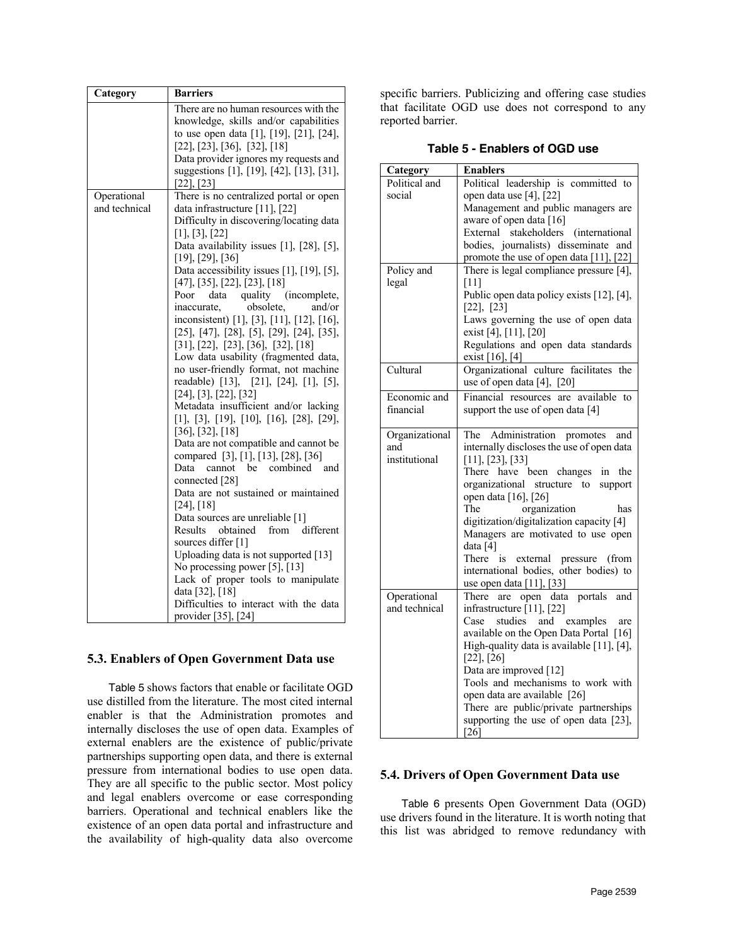| Category      | <b>Barriers</b>                                               |
|---------------|---------------------------------------------------------------|
|               | There are no human resources with the                         |
|               | knowledge, skills and/or capabilities                         |
|               | to use open data [1], [19], [21], [24],                       |
|               | $[22]$ , $[23]$ , $[36]$ , $[32]$ , $[18]$                    |
|               | Data provider ignores my requests and                         |
|               | suggestions [1], [19], [42], [13], [31],                      |
|               | $[22]$ , $[23]$                                               |
| Operational   | There is no centralized portal or open                        |
| and technical | data infrastructure [11], [22]                                |
|               | Difficulty in discovering/locating data                       |
|               | [1], [3], [22]                                                |
|               | Data availability issues $[1]$ , $[28]$ , $[5]$ ,             |
|               | $[19]$ , $[29]$ , $[36]$                                      |
|               | Data accessibility issues [1], [19], [5],                     |
|               | [47], [35], [22], [23], [18]                                  |
|               | data quality<br>(incomplete,<br>Poor                          |
|               | obsolete,<br>and/or<br>inaccurate,                            |
|               | inconsistent) [1], [3], [11], [12], [16],                     |
|               | $[25]$ , $[47]$ , $[28]$ , $[5]$ , $[29]$ , $[24]$ , $[35]$ , |
|               | [31], [22], [23], [36], [32], [18]                            |
|               | Low data usability (fragmented data,                          |
|               | no user-friendly format, not machine                          |
|               | readable) [13], [21], [24], [1], [5],                         |
|               | [24], [3], [22], [32]                                         |
|               | Metadata insufficient and/or lacking                          |
|               | $[1]$ , $[3]$ , $[19]$ , $[10]$ , $[16]$ , $[28]$ , $[29]$ ,  |
|               | $[36]$ , $[32]$ , $[18]$                                      |
|               | Data are not compatible and cannot be                         |
|               | compared [3], [1], [13], [28], [36]                           |
|               | be combined<br>Data<br>cannot<br>and                          |
|               | connected [28]                                                |
|               | Data are not sustained or maintained                          |
|               | [24], [18]                                                    |
|               | Data sources are unreliable [1]                               |
|               | Results<br>obtained<br>from different                         |
|               | sources differ [1]                                            |
|               | Uploading data is not supported [13]                          |
|               | No processing power [5], [13]                                 |
|               | Lack of proper tools to manipulate                            |
|               | data [32], [18]                                               |
|               | Difficulties to interact with the data                        |
|               | provider [35], [24]                                           |

# **5.3. Enablers of Open Government Data use**

Table 5 shows factors that enable or facilitate OGD use distilled from the literature. The most cited internal enabler is that the Administration promotes and internally discloses the use of open data. Examples of external enablers are the existence of public/private partnerships supporting open data, and there is external pressure from international bodies to use open data. They are all specific to the public sector. Most policy and legal enablers overcome or ease corresponding barriers. Operational and technical enablers like the existence of an open data portal and infrastructure and the availability of high-quality data also overcome

specific barriers. Publicizing and offering case studies that facilitate OGD use does not correspond to any reported barrier.

**Table 5 - Enablers of OGD use**

| Category       | <b>Enablers</b>                                             |
|----------------|-------------------------------------------------------------|
| Political and  | Political leadership is committed to                        |
| social         | open data use [4], [22]                                     |
|                | Management and public managers are                          |
|                | aware of open data [16]                                     |
|                | External stakeholders (international                        |
|                | bodies, journalists) disseminate and                        |
|                | promote the use of open data [11], [22]                     |
| Policy and     | There is legal compliance pressure [4],                     |
| legal          | [11]<br>Public open data policy exists [12], [4],           |
|                | $[22]$ , $[23]$                                             |
|                | Laws governing the use of open data                         |
|                | exist [4], [11], [20]                                       |
|                | Regulations and open data standards                         |
|                | exist [16], [4]                                             |
| Cultural       | Organizational culture facilitates the                      |
|                | use of open data [4], [20]                                  |
| Economic and   | Financial resources are available to                        |
| financial      | support the use of open data [4]                            |
|                |                                                             |
| Organizational | The Administration promotes<br>and                          |
| and            | internally discloses the use of open data                   |
| institutional  | [11], [23], [33]                                            |
|                | There have been changes<br>in<br>the                        |
|                | organizational structure to<br>support                      |
|                | open data [16], [26]<br>The<br>organization<br>has          |
|                | digitization/digitalization capacity [4]                    |
|                | Managers are motivated to use open                          |
|                | data [4]                                                    |
|                | There is external pressure (from                            |
|                | international bodies, other bodies) to                      |
|                | use open data [11], [33]                                    |
| Operational    | open data<br>portals<br>There<br>and<br>are                 |
| and technical  | infrastructure [11], [22]                                   |
|                | studies and examples<br>Case<br>are                         |
|                | available on the Open Data Portal [16]                      |
|                | High-quality data is available [11], [4],                   |
|                | $[22]$ , $[26]$                                             |
|                | Data are improved [12]<br>Tools and mechanisms to work with |
|                | open data are available [26]                                |
|                | There are public/private partnerships                       |
|                | supporting the use of open data [23],                       |
|                | $[26]$                                                      |

# **5.4. Drivers of Open Government Data use**

Table 6 presents Open Government Data (OGD) use drivers found in the literature. It is worth noting that this list was abridged to remove redundancy with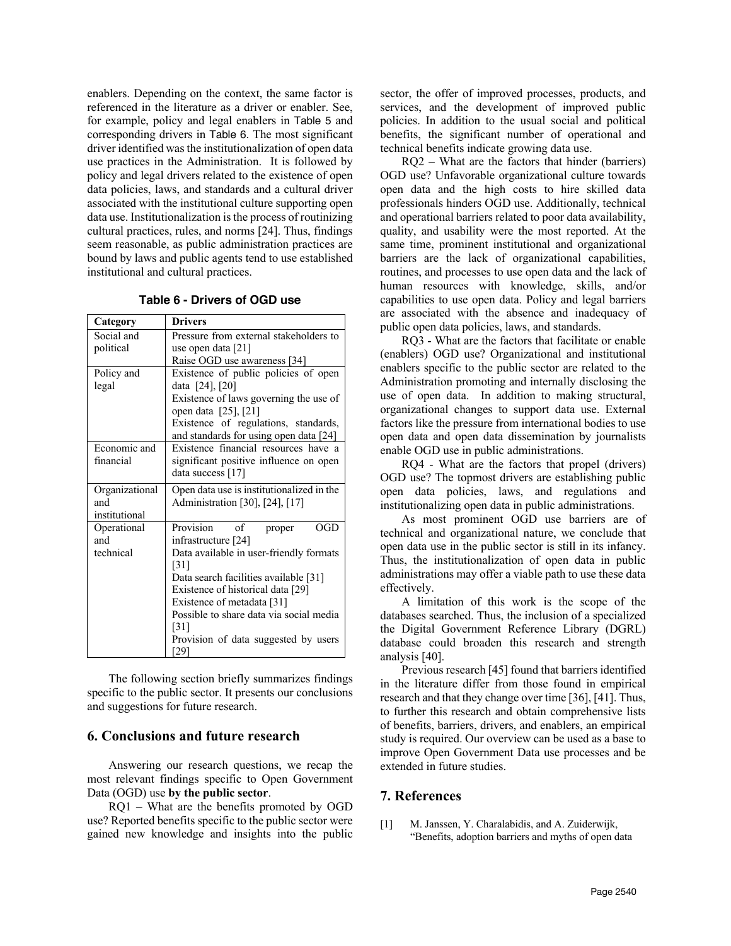enablers. Depending on the context, the same factor is referenced in the literature as a driver or enabler. See, for example, policy and legal enablers in Table 5 and corresponding drivers in Table 6. The most significant driver identified was the institutionalization of open data use practices in the Administration. It is followed by policy and legal drivers related to the existence of open data policies, laws, and standards and a cultural driver associated with the institutional culture supporting open data use. Institutionalization is the process of routinizing cultural practices, rules, and norms [24]. Thus, findings seem reasonable, as public administration practices are bound by laws and public agents tend to use established institutional and cultural practices.

|  |  | Table 6 - Drivers of OGD use |  |  |  |
|--|--|------------------------------|--|--|--|
|--|--|------------------------------|--|--|--|

| Category       | <b>Drivers</b>                            |  |  |  |
|----------------|-------------------------------------------|--|--|--|
| Social and     | Pressure from external stakeholders to    |  |  |  |
| political      | use open data [21]                        |  |  |  |
|                | Raise OGD use awareness [34]              |  |  |  |
| Policy and     | Existence of public policies of open      |  |  |  |
| legal          | data [24], [20]                           |  |  |  |
|                | Existence of laws governing the use of    |  |  |  |
|                | open data [25], [21]                      |  |  |  |
|                | Existence of regulations, standards,      |  |  |  |
|                | and standards for using open data [24]    |  |  |  |
| Economic and   | Existence financial resources have a      |  |  |  |
| financial      | significant positive influence on open    |  |  |  |
|                | data success [17]                         |  |  |  |
| Organizational | Open data use is institutionalized in the |  |  |  |
| and            | Administration [30], [24], [17]           |  |  |  |
| institutional  |                                           |  |  |  |
| Operational    | Provision of<br>OGD<br>proper             |  |  |  |
| and            | infrastructure $[24]$                     |  |  |  |
| technical      | Data available in user-friendly formats   |  |  |  |
|                | [31]                                      |  |  |  |
|                | Data search facilities available [31]     |  |  |  |
|                | Existence of historical data [29]         |  |  |  |
|                | Existence of metadata [31]                |  |  |  |
|                | Possible to share data via social media   |  |  |  |
|                | $\lceil 31 \rceil$                        |  |  |  |
|                | Provision of data suggested by users      |  |  |  |
|                | [29]                                      |  |  |  |

The following section briefly summarizes findings specific to the public sector. It presents our conclusions and suggestions for future research.

# **6. Conclusions and future research**

Answering our research questions, we recap the most relevant findings specific to Open Government Data (OGD) use **by the public sector**.

RQ1 – What are the benefits promoted by OGD use? Reported benefits specific to the public sector were gained new knowledge and insights into the public sector, the offer of improved processes, products, and services, and the development of improved public policies. In addition to the usual social and political benefits, the significant number of operational and technical benefits indicate growing data use.

RQ2 – What are the factors that hinder (barriers) OGD use? Unfavorable organizational culture towards open data and the high costs to hire skilled data professionals hinders OGD use. Additionally, technical and operational barriers related to poor data availability, quality, and usability were the most reported. At the same time, prominent institutional and organizational barriers are the lack of organizational capabilities, routines, and processes to use open data and the lack of human resources with knowledge, skills, and/or capabilities to use open data. Policy and legal barriers are associated with the absence and inadequacy of public open data policies, laws, and standards.

RQ3 - What are the factors that facilitate or enable (enablers) OGD use? Organizational and institutional enablers specific to the public sector are related to the Administration promoting and internally disclosing the use of open data. In addition to making structural, organizational changes to support data use. External factors like the pressure from international bodies to use open data and open data dissemination by journalists enable OGD use in public administrations.

RQ4 - What are the factors that propel (drivers) OGD use? The topmost drivers are establishing public open data policies, laws, and regulations and institutionalizing open data in public administrations.

As most prominent OGD use barriers are of technical and organizational nature, we conclude that open data use in the public sector is still in its infancy. Thus, the institutionalization of open data in public administrations may offer a viable path to use these data effectively.

A limitation of this work is the scope of the databases searched. Thus, the inclusion of a specialized the Digital Government Reference Library (DGRL) database could broaden this research and strength analysis [40].

Previous research [45] found that barriers identified in the literature differ from those found in empirical research and that they change over time [36], [41]. Thus, to further this research and obtain comprehensive lists of benefits, barriers, drivers, and enablers, an empirical study is required. Our overview can be used as a base to improve Open Government Data use processes and be extended in future studies.

### **7. References**

[1] M. Janssen, Y. Charalabidis, and A. Zuiderwijk, "Benefits, adoption barriers and myths of open data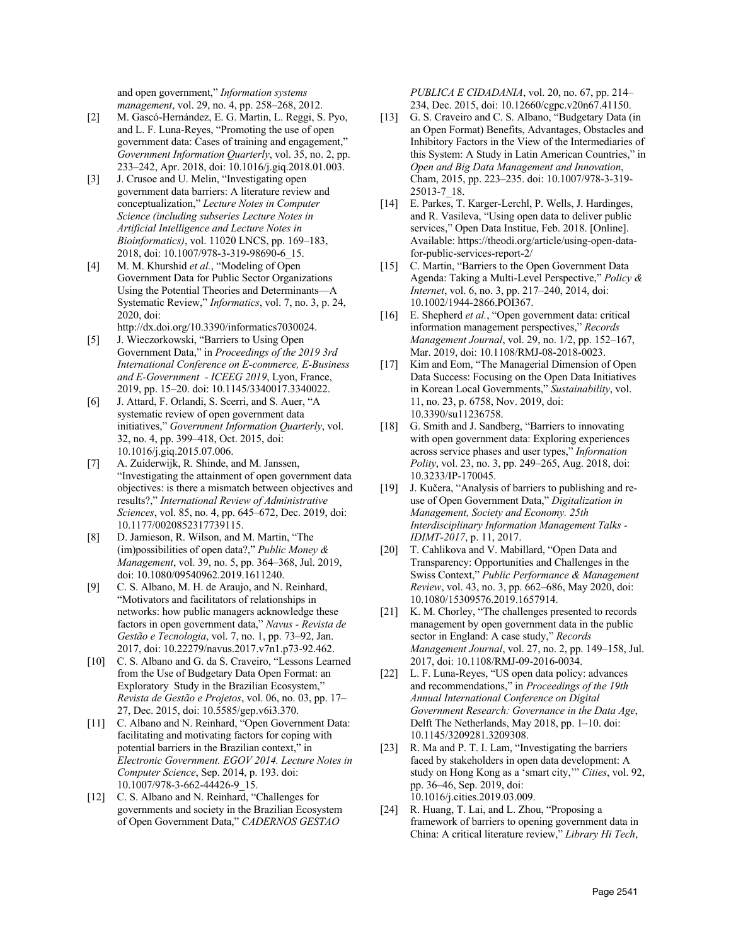and open government," *Information systems management*, vol. 29, no. 4, pp. 258–268, 2012.

- [2] M. Gascó-Hernández, E. G. Martin, L. Reggi, S. Pyo, and L. F. Luna-Reyes, "Promoting the use of open government data: Cases of training and engagement," *Government Information Quarterly*, vol. 35, no. 2, pp. 233–242, Apr. 2018, doi: 10.1016/j.giq.2018.01.003.
- [3] J. Crusoe and U. Melin, "Investigating open government data barriers: A literature review and conceptualization," *Lecture Notes in Computer Science (including subseries Lecture Notes in Artificial Intelligence and Lecture Notes in Bioinformatics)*, vol. 11020 LNCS, pp. 169–183, 2018, doi: 10.1007/978-3-319-98690-6\_15.
- [4] M. M. Khurshid *et al.*, "Modeling of Open Government Data for Public Sector Organizations Using the Potential Theories and Determinants—A Systematic Review," *Informatics*, vol. 7, no. 3, p. 24, 2020, doi: http://dx.doi.org/10.3390/informatics7030024.
- [5] J. Wieczorkowski, "Barriers to Using Open Government Data," in *Proceedings of the 2019 3rd International Conference on E-commerce, E-Business and E-Government - ICEEG 2019*, Lyon, France, 2019, pp. 15–20. doi: 10.1145/3340017.3340022.
- [6] J. Attard, F. Orlandi, S. Scerri, and S. Auer, "A systematic review of open government data initiatives," *Government Information Quarterly*, vol. 32, no. 4, pp. 399–418, Oct. 2015, doi: 10.1016/j.giq.2015.07.006.
- [7] A. Zuiderwijk, R. Shinde, and M. Janssen, "Investigating the attainment of open government data objectives: is there a mismatch between objectives and results?," *International Review of Administrative Sciences*, vol. 85, no. 4, pp. 645–672, Dec. 2019, doi: 10.1177/0020852317739115.
- [8] D. Jamieson, R. Wilson, and M. Martin, "The (im)possibilities of open data?," *Public Money & Management*, vol. 39, no. 5, pp. 364–368, Jul. 2019, doi: 10.1080/09540962.2019.1611240.
- [9] C. S. Albano, M. H. de Araujo, and N. Reinhard, "Motivators and facilitators of relationships in networks: how public managers acknowledge these factors in open government data," *Navus - Revista de Gestão e Tecnologia*, vol. 7, no. 1, pp. 73–92, Jan. 2017, doi: 10.22279/navus.2017.v7n1.p73-92.462.
- [10] C. S. Albano and G. da S. Craveiro, "Lessons Learned from the Use of Budgetary Data Open Format: an Exploratory Study in the Brazilian Ecosystem," *Revista de Gestão e Projetos*, vol. 06, no. 03, pp. 17– 27, Dec. 2015, doi: 10.5585/gep.v6i3.370.
- [11] C. Albano and N. Reinhard, "Open Government Data: facilitating and motivating factors for coping with potential barriers in the Brazilian context," in *Electronic Government. EGOV 2014. Lecture Notes in Computer Science*, Sep. 2014, p. 193. doi: 10.1007/978-3-662-44426-9\_15.
- [12] C. S. Albano and N. Reinhard, "Challenges for governments and society in the Brazilian Ecosystem of Open Government Data," *CADERNOS GESTAO*

*PUBLICA E CIDADANIA*, vol. 20, no. 67, pp. 214– 234, Dec. 2015, doi: 10.12660/cgpc.v20n67.41150.

- [13] G. S. Craveiro and C. S. Albano, "Budgetary Data (in an Open Format) Benefits, Advantages, Obstacles and Inhibitory Factors in the View of the Intermediaries of this System: A Study in Latin American Countries," in *Open and Big Data Management and Innovation*, Cham, 2015, pp. 223–235. doi: 10.1007/978-3-319- 25013-7\_18.
- [14] E. Parkes, T. Karger-Lerchl, P. Wells, J. Hardinges, and R. Vasileva, "Using open data to deliver public services," Open Data Institue, Feb. 2018. [Online]. Available: https://theodi.org/article/using-open-datafor-public-services-report-2/
- [15] C. Martin, "Barriers to the Open Government Data Agenda: Taking a Multi-Level Perspective," *Policy & Internet*, vol. 6, no. 3, pp. 217–240, 2014, doi: 10.1002/1944-2866.POI367.
- [16] E. Shepherd *et al.*, "Open government data: critical information management perspectives," *Records Management Journal*, vol. 29, no. 1/2, pp. 152–167, Mar. 2019, doi: 10.1108/RMJ-08-2018-0023.
- [17] Kim and Eom, "The Managerial Dimension of Open Data Success: Focusing on the Open Data Initiatives in Korean Local Governments," *Sustainability*, vol. 11, no. 23, p. 6758, Nov. 2019, doi: 10.3390/su11236758.
- [18] G. Smith and J. Sandberg, "Barriers to innovating with open government data: Exploring experiences across service phases and user types," *Information Polity*, vol. 23, no. 3, pp. 249–265, Aug. 2018, doi: 10.3233/IP-170045.
- [19] J. Kučera, "Analysis of barriers to publishing and reuse of Open Government Data," *Digitalization in Management, Society and Economy. 25th Interdisciplinary Information Management Talks - IDIMT-2017*, p. 11, 2017.
- [20] T. Cahlikova and V. Mabillard, "Open Data and Transparency: Opportunities and Challenges in the Swiss Context," *Public Performance & Management Review*, vol. 43, no. 3, pp. 662–686, May 2020, doi: 10.1080/15309576.2019.1657914.
- [21] K. M. Chorley, "The challenges presented to records management by open government data in the public sector in England: A case study," *Records Management Journal*, vol. 27, no. 2, pp. 149–158, Jul. 2017, doi: 10.1108/RMJ-09-2016-0034.
- [22] L. F. Luna-Reyes, "US open data policy: advances and recommendations," in *Proceedings of the 19th Annual International Conference on Digital Government Research: Governance in the Data Age*, Delft The Netherlands, May 2018, pp. 1–10. doi: 10.1145/3209281.3209308.
- [23] R. Ma and P. T. I. Lam, "Investigating the barriers faced by stakeholders in open data development: A study on Hong Kong as a 'smart city,'" *Cities*, vol. 92, pp. 36–46, Sep. 2019, doi: 10.1016/j.cities.2019.03.009.
- [24] R. Huang, T. Lai, and L. Zhou, "Proposing a framework of barriers to opening government data in China: A critical literature review," *Library Hi Tech*,